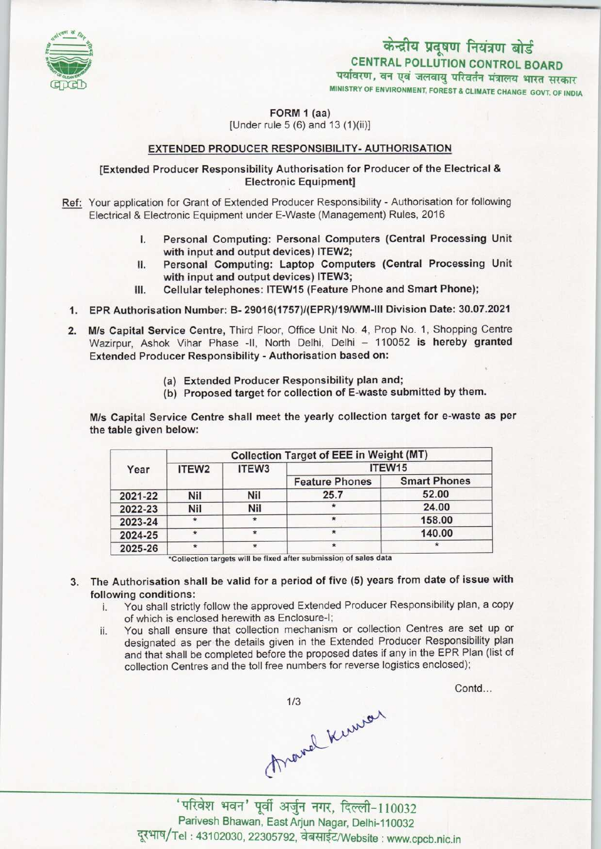

# केन्द्रीय प्रदूषण नियंत्रण बोर्ड CENTRAL POLLUTION CONTROL BOARD<br>पर्यावरण, वन एवं जलवायु परिवर्तन मंत्रालय भारत सरकार

MINISTRY OF ENVIRONMENT, FOREST & CLIMATE CHANGE GOVT. OF INDIA

FORM 1 (aa)

[Under rule  $5(6)$  and  $13(1)(ii)$ ]

## EXTENDED PRODUCER RESPONSIBILITY- AUTHORISATION

### [Extended Producer Responsibility Authorisation for Producer of the Electrical & Electronic Equipment]

- Ref: Your application for Grant of Extended Producer Responsibility Authorisation for following Electrical & Electronic Equipment under E-Waste (Management) Rules, 2016
	- I. Personal Computing: Personal Computers (Central Processing Unit with input and output devices) ITEW2; I. Personal Computing: Personal Computers (Central Processing Unit with input and output devices) ITEW2;<br>II. Personal Computing: Laptop Computers (Central Processing Unit with input and output devices) ITEW3:
	- with input and output devices) ITEW3;<br>Cellular telephones: ITEW15 (Feature Phone and Smart Phone); II. Personal Computing: Laptop Computers (Central Processin<br>with input and output devices) ITEW3;<br>III. Cellular telephones: ITEW15 (Feature Phone and Smart Phone);
	-
	- EPR Authorisation Number: B-29016(1757)/(EPR)/19/WM-lll Division Date: 30.07.2021
	- M/s Capital Service Centre, Third Floor, Office Unit No. 4, Prop No. 1, Shopping Centre  $2.$ Wazirpur, Ashok Vihar Phase -II, North Delhi, Delhi - 110052 is hereby granted Extended Producer Responsibility - Authorisation based on:
		- (a)Extended Producer Responsibility plan and;
		- (b) Proposed target for collection of E-waste submitted by them.

M/s Capital Service Centre shall meet the yearly collection target for e-waste as per the table given below:

| Year    | <b>Collection Target of EEE in Weight (MT)</b> |                   |                       |                     |
|---------|------------------------------------------------|-------------------|-----------------------|---------------------|
|         | ITEW <sub>2</sub>                              | ITEW <sub>3</sub> | ITEW <sub>15</sub>    |                     |
|         |                                                |                   | <b>Feature Phones</b> | <b>Smart Phones</b> |
| 2021-22 | <b>Nil</b>                                     | <b>Nil</b>        | 25.7                  | 52.00               |
| 2022-23 | <b>Nil</b>                                     | <b>Nil</b>        |                       | 24.00               |
| 2023-24 | $\star$                                        | $\ast$            |                       | 158.00              |
| 2024-25 | $\star$                                        | $\star$           |                       | 140.00              |
| 2025-26 | $\star$                                        | $\star$           | ÷                     | $\star$             |

\*Collection targets will be fixed after submission of sales data

- 3. The Authorisation shall be valid for a period of five (5) years from date of issue with following conditions:
	- i. You shall strictly follow the approved Extended Producer Responsibility plan, a copy of which is enclosed herewith as Endosure-I;
	- ii. You shall ensure that collection mechanism or collection Centres are set up or designated as per the details given in the Extended Producer Responsibility plan and that shall be completed before the proposed dates if any in the EPR Plan (list of collection Centres and the toll free numbers for reverse logistics enclosed);

Contd...

Aranal Kerwar

' परिवेश भवन' पूर्वी अर्जुन नगर, दिल्ली-110032 Parivesh Bhawan, EastArjun Nagar, Delhi-110032 दूरभाष/Tel: 43102030, 22305792, वेबसाईट/Website : www.cpcb.nic.in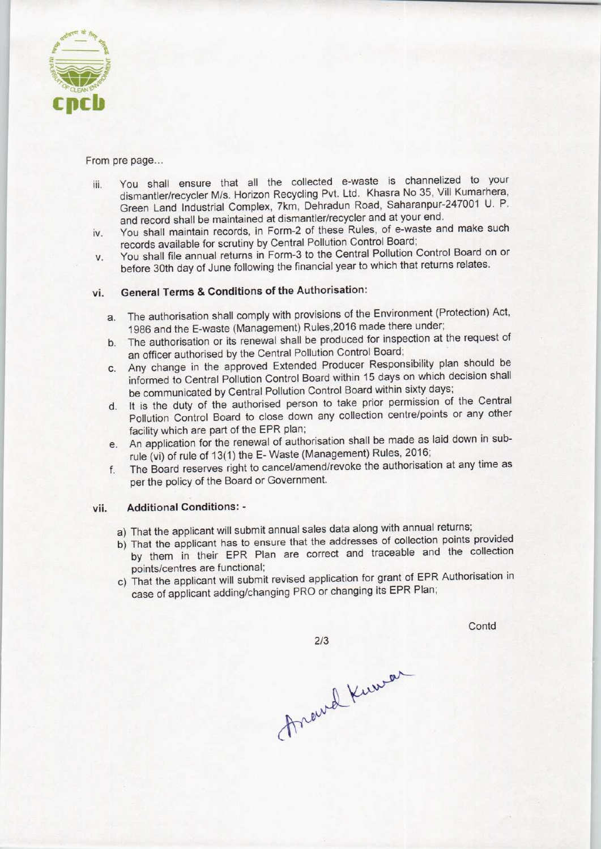

#### From pre page...

- iii. You shall ensure that all the collected e-waste is channelized to your dismantler/recycler M/s. Horizon Recycling Pvt. Ltd. Khasra No 35, Vill Kumarhera, Green Land Industrial Complex, 7km, Dehradun Road, Saharanpur-247001 U. P. and record shall be maintained at dismantler/recycler and at your end.
- iv. You shall maintain records, in Form-2 of these Rules, of e-waste and make such records available for scrutiny by Central Pollution Control Board;
- v. You shall file annual returns in Form-3 to the Central Pollution Control Board on or before 30th day of June following the financial year to which that returns relates.

# vi. General Terms & Conditions of the Authorisation:

- a.The authorisation shall comply with provisions of the Environment (Protection) Act, 1986 and the E-waste (Management) Rules.2016 made there under;
- b. The authorisation or its renewal shall be produced for inspection at the request of an officer authorised by the Central Pollution Control Board;
- c.Any change in the approved Extended Producer Responsibility plan should be informed to Central Pollution Control Board within 15 days on which decision shall be communicated by Central Pollution Control Board within sixty days;
- d. It is the duty of the authorised person to take prior permission of the Central Pollution Control Board to close down any collection centre/points or any other facility which are part of the EPR plan;
- e. An application for the renewal of authorisation shall be made as laid down in subrule (vi) of rule of 13(1) the E- Waste (Management) Rules, 2016;
- f. The Board reserves right to cancel/amend/revoke the authorisation at any time as per the policy of the Board or Government.

#### vii. Additional Conditions: -

- a) That the applicant will submit annual sales data along with annual returns;
- b) That the applicant has to ensure that the addresses of collection points provided by them in their EPR Plan are correct and traceable and the collection points/centres are functional;
- c) That the applicant will submit revised application for grant of EPR Authorisation in case of applicant adding/changing PRO or changing its EPR Plan;

Contd

Anawal Knowan

 $2/3$